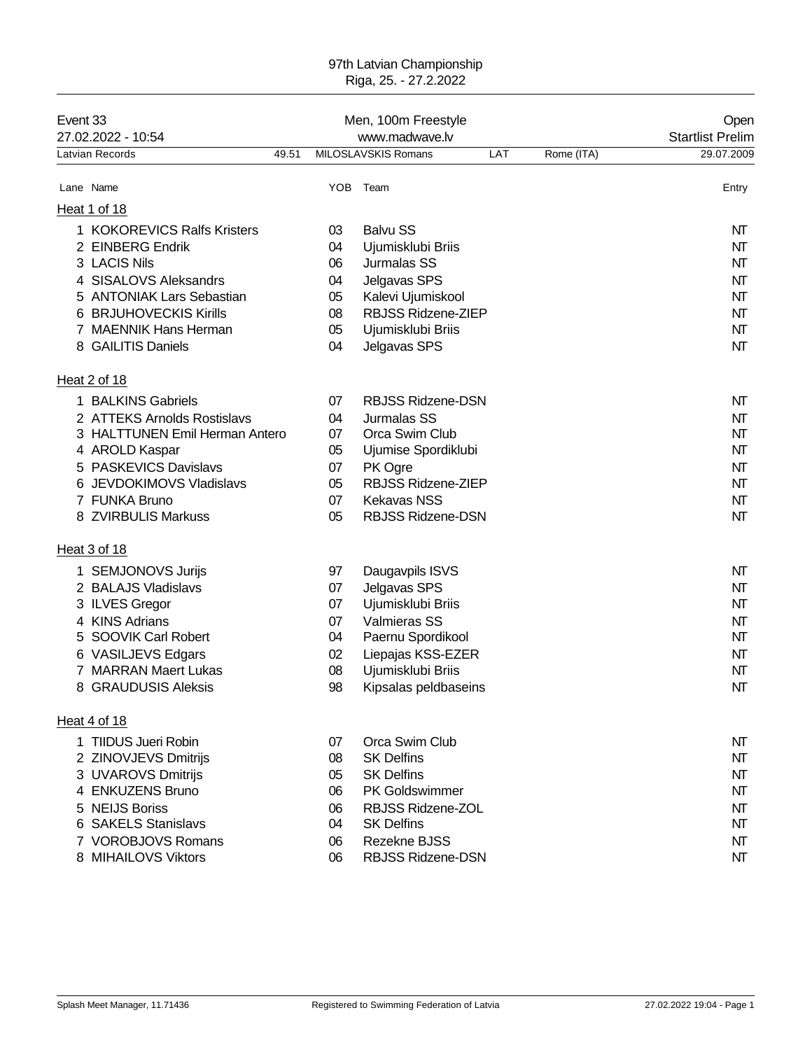#### 97th Latvian Championship Riga, 25. - 27.2.2022

| Event 33<br>27.02.2022 - 10:54<br>Latvian Records |                                | Men, 100m Freestyle<br>www.madwave.lv |      |                          |     |            | Open<br><b>Startlist Prelim</b> |
|---------------------------------------------------|--------------------------------|---------------------------------------|------|--------------------------|-----|------------|---------------------------------|
|                                                   |                                | 49.51                                 |      | MILOSLAVSKIS Romans      | LAT | Rome (ITA) | 29.07.2009                      |
|                                                   | Lane Name                      |                                       | YOB. | Team                     |     |            | Entry                           |
|                                                   | Heat 1 of 18                   |                                       |      |                          |     |            |                                 |
|                                                   | 1 KOKOREVICS Ralfs Kristers    |                                       | 03   | <b>Balvu SS</b>          |     |            | NT                              |
| 2                                                 | <b>EINBERG Endrik</b>          |                                       | 04   | Ujumisklubi Briis        |     |            | NT                              |
|                                                   | 3 LACIS Nils                   |                                       | 06   | Jurmalas SS              |     |            | NT                              |
| 4                                                 | <b>SISALOVS Aleksandrs</b>     |                                       | 04   | Jelgavas SPS             |     |            | NT                              |
| 5                                                 | <b>ANTONIAK Lars Sebastian</b> |                                       | 05   | Kalevi Ujumiskool        |     |            | NΤ                              |
| 6                                                 | <b>BRJUHOVECKIS Kirills</b>    |                                       | 08   | RBJSS Ridzene-ZIEP       |     |            | NT                              |
|                                                   | 7 MAENNIK Hans Herman          |                                       | 05   | Ujumisklubi Briis        |     |            | NΤ                              |
|                                                   | 8 GAILITIS Daniels             |                                       | 04   | Jelgavas SPS             |     |            | NΤ                              |
|                                                   | Heat 2 of 18                   |                                       |      |                          |     |            |                                 |
|                                                   | 1 BALKINS Gabriels             |                                       | 07   | <b>RBJSS Ridzene-DSN</b> |     |            | NT                              |
|                                                   | 2 ATTEKS Arnolds Rostislavs    |                                       | 04   | Jurmalas SS              |     |            | NΤ                              |
|                                                   | 3 HALTTUNEN Emil Herman Antero |                                       | 07   | Orca Swim Club           |     |            | NT                              |
|                                                   | 4 AROLD Kaspar                 |                                       | 05   | Ujumise Spordiklubi      |     |            | NΤ                              |
| 5                                                 | <b>PASKEVICS Davislavs</b>     |                                       | 07   | PK Ogre                  |     |            | NΤ                              |
|                                                   | 6 JEVDOKIMOVS Vladislavs       |                                       | 05   | RBJSS Ridzene-ZIEP       |     |            | NΤ                              |
|                                                   | 7 FUNKA Bruno                  |                                       | 07   | <b>Kekavas NSS</b>       |     |            | NT                              |
|                                                   | 8 ZVIRBULIS Markuss            |                                       | 05   | <b>RBJSS Ridzene-DSN</b> |     |            | NΤ                              |
|                                                   | Heat 3 of 18                   |                                       |      |                          |     |            |                                 |
|                                                   | 1 SEMJONOVS Jurijs             |                                       | 97   | Daugavpils ISVS          |     |            | NT                              |
|                                                   | 2 BALAJS Vladislavs            |                                       | 07   | Jelgavas SPS             |     |            | NT                              |
|                                                   | 3 ILVES Gregor                 |                                       | 07   | Ujumisklubi Briis        |     |            | NT                              |
| 4                                                 | <b>KINS Adrians</b>            |                                       | 07   | Valmieras SS             |     |            | NT                              |
| 5                                                 | SOOVIK Carl Robert             |                                       | 04   | Paernu Spordikool        |     |            | NT                              |
| 6                                                 | <b>VASILJEVS Edgars</b>        |                                       | 02   | Liepajas KSS-EZER        |     |            | NT                              |
|                                                   | <b>MARRAN Maert Lukas</b>      |                                       | 08   | Ujumisklubi Briis        |     |            | NΤ                              |
|                                                   | 8 GRAUDUSIS Aleksis            |                                       | 98   | Kipsalas peldbaseins     |     |            | NΤ                              |
|                                                   | Heat 4 of 18                   |                                       |      |                          |     |            |                                 |
|                                                   | 1 TIIDUS Jueri Robin           |                                       | 07   | Orca Swim Club           |     |            | NT                              |
|                                                   | 2 ZINOVJEVS Dmitrijs           |                                       | 08   | <b>SK Delfins</b>        |     |            | NT                              |
|                                                   | 3 UVAROVS Dmitrijs             |                                       | 05   | <b>SK Delfins</b>        |     |            | NΤ                              |
|                                                   | 4 ENKUZENS Bruno               |                                       | 06   | <b>PK Goldswimmer</b>    |     |            | NT                              |
| 5                                                 | <b>NEIJS Boriss</b>            |                                       | 06   | <b>RBJSS Ridzene-ZOL</b> |     |            | NΤ                              |
|                                                   | 6 SAKELS Stanislavs            |                                       | 04   | <b>SK Delfins</b>        |     |            | NΤ                              |
|                                                   | 7 VOROBJOVS Romans             |                                       | 06   | Rezekne BJSS             |     |            | NT                              |
|                                                   | 8 MIHAILOVS Viktors            |                                       | 06   | <b>RBJSS Ridzene-DSN</b> |     |            | NT                              |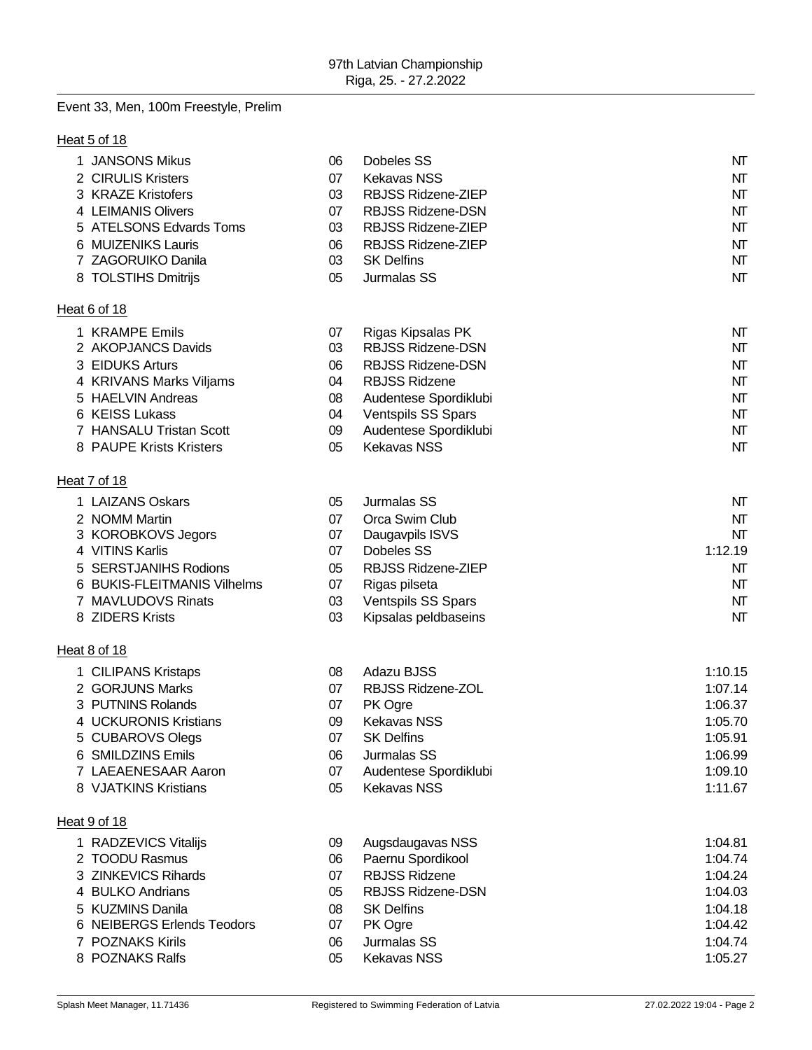# Event 33, Men, 100m Freestyle, Prelim

## Heat 5 of 18

| 1 JANSONS Mikus             | 06 | Dobeles SS                | NΤ      |
|-----------------------------|----|---------------------------|---------|
| 2 CIRULIS Kristers          | 07 | <b>Kekavas NSS</b>        | NT      |
| 3 KRAZE Kristofers          | 03 | RBJSS Ridzene-ZIEP        | NT      |
| 4 LEIMANIS Olivers          | 07 | RBJSS Ridzene-DSN         | NT      |
| 5 ATELSONS Edvards Toms     | 03 | RBJSS Ridzene-ZIEP        | NT      |
| 6 MUIZENIKS Lauris          | 06 | RBJSS Ridzene-ZIEP        | NT      |
| 7 ZAGORUIKO Danila          | 03 | <b>SK Delfins</b>         | NT      |
| 8 TOLSTIHS Dmitrijs         | 05 | Jurmalas SS               | NT      |
| Heat 6 of 18                |    |                           |         |
| 1 KRAMPE Emils              | 07 | Rigas Kipsalas PK         | NΤ      |
| 2 AKOPJANCS Davids          | 03 | <b>RBJSS Ridzene-DSN</b>  | NT      |
| 3 EIDUKS Arturs             | 06 | <b>RBJSS Ridzene-DSN</b>  | NT      |
| 4 KRIVANS Marks Viljams     | 04 | <b>RBJSS Ridzene</b>      | NT      |
| 5 HAELVIN Andreas           | 08 | Audentese Spordiklubi     | NT      |
| 6 KEISS Lukass              | 04 | Ventspils SS Spars        | NT      |
| 7 HANSALU Tristan Scott     | 09 | Audentese Spordiklubi     | NT      |
| 8 PAUPE Krists Kristers     | 05 | <b>Kekavas NSS</b>        | NT      |
| Heat 7 of 18                |    |                           |         |
| 1 LAIZANS Oskars            | 05 | Jurmalas SS               | NT      |
| 2 NOMM Martin               | 07 | Orca Swim Club            | NT      |
| 3 KOROBKOVS Jegors          | 07 | Daugavpils ISVS           | NT      |
| 4 VITINS Karlis             | 07 | Dobeles SS                | 1:12.19 |
| 5 SERSTJANIHS Rodions       | 05 | RBJSS Ridzene-ZIEP        | NΤ      |
| 6 BUKIS-FLEITMANIS Vilhelms | 07 | Rigas pilseta             | NT      |
| 7 MAVLUDOVS Rinats          | 03 | <b>Ventspils SS Spars</b> | NT      |
| 8 ZIDERS Krists             | 03 | Kipsalas peldbaseins      | NT      |
| Heat 8 of 18                |    |                           |         |
| 1 CILIPANS Kristaps         | 08 | Adazu BJSS                | 1:10.15 |
| 2 GORJUNS Marks             | 07 | RBJSS Ridzene-ZOL         | 1:07.14 |
| 3 PUTNINS Rolands           | 07 | PK Ogre                   | 1:06.37 |
| 4 UCKURONIS Kristians       | 09 | <b>Kekavas NSS</b>        | 1:05.70 |
| 5 CUBAROVS Olegs            | 07 | <b>SK Delfins</b>         | 1:05.91 |
| 6 SMILDZINS Emils           | 06 | Jurmalas SS               | 1:06.99 |
| 7 LAEAENESAAR Aaron         | 07 | Audentese Spordiklubi     | 1:09.10 |
| 8 VJATKINS Kristians        | 05 | <b>Kekavas NSS</b>        | 1:11.67 |
| Heat 9 of 18                |    |                           |         |
| 1 RADZEVICS Vitalijs        | 09 | Augsdaugavas NSS          | 1:04.81 |
| 2 TOODU Rasmus              | 06 | Paernu Spordikool         | 1:04.74 |
| 3 ZINKEVICS Rihards         | 07 | <b>RBJSS Ridzene</b>      | 1:04.24 |
| 4 BULKO Andrians            | 05 | RBJSS Ridzene-DSN         | 1:04.03 |
| 5 KUZMINS Danila            | 08 | <b>SK Delfins</b>         | 1:04.18 |
| 6 NEIBERGS Erlends Teodors  | 07 | PK Ogre                   | 1:04.42 |
| 7 POZNAKS Kirils            | 06 | Jurmalas SS               | 1:04.74 |
| 8 POZNAKS Ralfs             | 05 | <b>Kekavas NSS</b>        | 1:05.27 |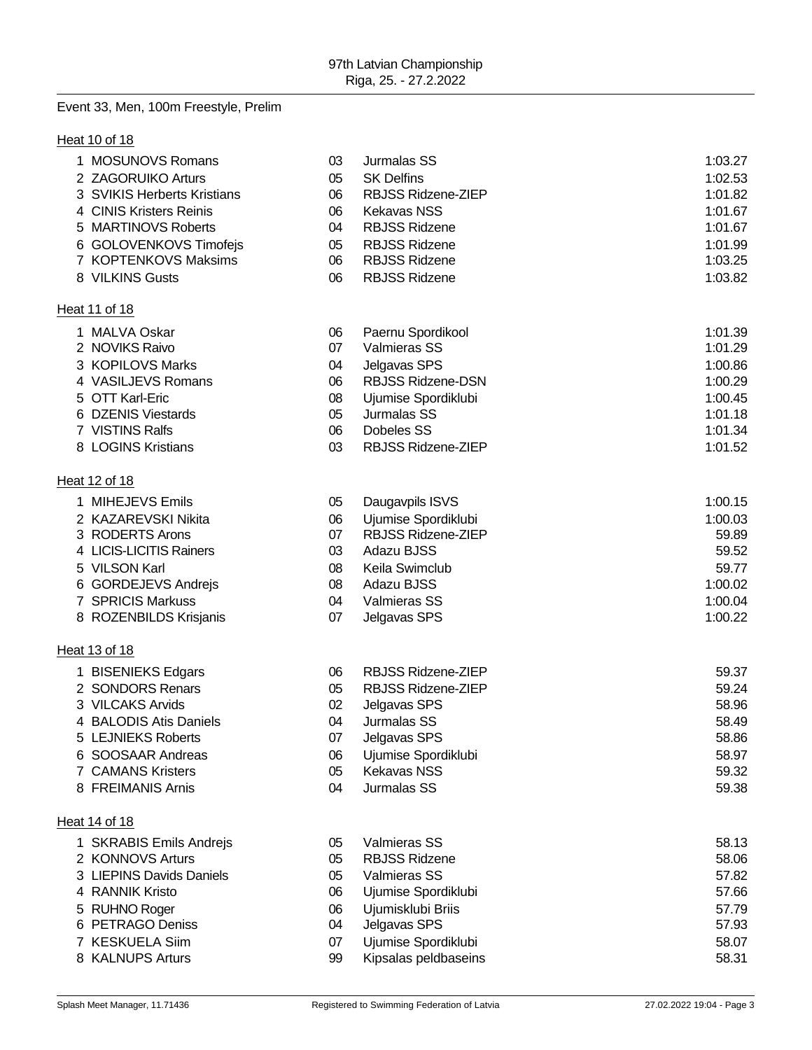# Event 33, Men, 100m Freestyle, Prelim

## **Heat 10 of 18**

| 1 MOSUNOVS Romans           | 03 | Jurmalas SS              | 1:03.27 |
|-----------------------------|----|--------------------------|---------|
| 2 ZAGORUIKO Arturs          | 05 | <b>SK Delfins</b>        | 1:02.53 |
| 3 SVIKIS Herberts Kristians | 06 | RBJSS Ridzene-ZIEP       | 1:01.82 |
| 4 CINIS Kristers Reinis     | 06 | <b>Kekavas NSS</b>       | 1:01.67 |
| 5 MARTINOVS Roberts         | 04 | <b>RBJSS Ridzene</b>     | 1:01.67 |
| 6 GOLOVENKOVS Timofejs      | 05 | <b>RBJSS Ridzene</b>     | 1:01.99 |
| 7 KOPTENKOVS Maksims        | 06 | <b>RBJSS Ridzene</b>     | 1:03.25 |
| 8 VILKINS Gusts             | 06 | <b>RBJSS Ridzene</b>     | 1:03.82 |
| Heat 11 of 18               |    |                          |         |
| 1 MALVA Oskar               | 06 | Paernu Spordikool        | 1:01.39 |
| 2 NOVIKS Raivo              | 07 | Valmieras SS             | 1:01.29 |
| 3 KOPILOVS Marks            | 04 | Jelgavas SPS             | 1:00.86 |
| 4 VASILJEVS Romans          | 06 | <b>RBJSS Ridzene-DSN</b> | 1:00.29 |
| 5 OTT Karl-Eric             | 08 | Ujumise Spordiklubi      | 1:00.45 |
| 6 DZENIS Viestards          | 05 | Jurmalas SS              | 1:01.18 |
| 7 VISTINS Ralfs             | 06 | Dobeles SS               | 1:01.34 |
| 8 LOGINS Kristians          | 03 | RBJSS Ridzene-ZIEP       | 1:01.52 |
| Heat 12 of 18               |    |                          |         |
| 1 MIHEJEVS Emils            | 05 | Daugavpils ISVS          | 1:00.15 |
| 2 KAZAREVSKI Nikita         | 06 | Ujumise Spordiklubi      | 1:00.03 |
| 3 RODERTS Arons             | 07 | RBJSS Ridzene-ZIEP       | 59.89   |
| 4 LICIS-LICITIS Rainers     | 03 | Adazu BJSS               | 59.52   |
| 5 VILSON Karl               | 08 | Keila Swimclub           | 59.77   |
| 6 GORDEJEVS Andrejs         | 08 | Adazu BJSS               | 1:00.02 |
| 7 SPRICIS Markuss           | 04 | Valmieras SS             | 1:00.04 |
| 8 ROZENBILDS Krisjanis      | 07 | Jelgavas SPS             | 1:00.22 |
| Heat 13 of 18               |    |                          |         |
| 1 BISENIEKS Edgars          | 06 | RBJSS Ridzene-ZIEP       | 59.37   |
| 2 SONDORS Renars            | 05 | RBJSS Ridzene-ZIEP       | 59.24   |
| 3 VILCAKS Arvids            | 02 | Jelgavas SPS             | 58.96   |
| 4 BALODIS Atis Daniels      | 04 | Jurmalas SS              | 58.49   |
| 5 LEJNIEKS Roberts          | 07 | Jelgavas SPS             | 58.86   |
| 6 SOOSAAR Andreas           | 06 | Ujumise Spordiklubi      | 58.97   |
| 7 CAMANS Kristers           | 05 | <b>Kekavas NSS</b>       | 59.32   |
| 8 FREIMANIS Arnis           | 04 | Jurmalas SS              | 59.38   |
| Heat 14 of 18               |    |                          |         |
| 1 SKRABIS Emils Andrejs     | 05 | Valmieras SS             | 58.13   |
| 2 KONNOVS Arturs            | 05 | <b>RBJSS Ridzene</b>     | 58.06   |
| 3 LIEPINS Davids Daniels    | 05 | Valmieras SS             | 57.82   |
| 4 RANNIK Kristo             | 06 | Ujumise Spordiklubi      | 57.66   |
| 5 RUHNO Roger               | 06 | Ujumisklubi Briis        | 57.79   |
| 6 PETRAGO Deniss            | 04 | Jelgavas SPS             | 57.93   |
| 7 KESKUELA Siim             | 07 | Ujumise Spordiklubi      | 58.07   |
| 8 KALNUPS Arturs            | 99 | Kipsalas peldbaseins     | 58.31   |
|                             |    |                          |         |